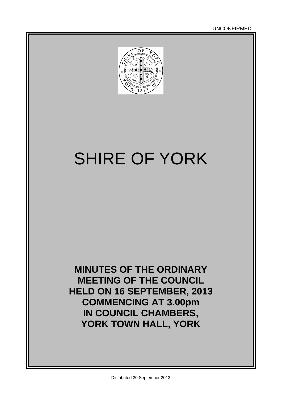

# SHIRE OF YORK

**MINUTES OF THE ORDINARY MEETING OF THE COUNCIL HELD ON 16 SEPTEMBER, 2013 COMMENCING AT 3.00pm IN COUNCIL CHAMBERS, YORK TOWN HALL, YORK**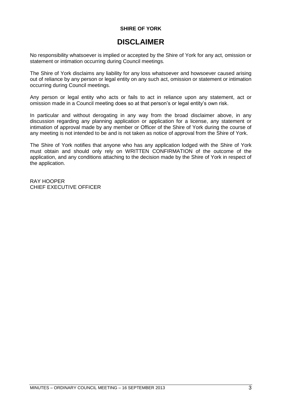#### **SHIRE OF YORK**

### **DISCLAIMER**

No responsibility whatsoever is implied or accepted by the Shire of York for any act, omission or statement or intimation occurring during Council meetings.

The Shire of York disclaims any liability for any loss whatsoever and howsoever caused arising out of reliance by any person or legal entity on any such act, omission or statement or intimation occurring during Council meetings.

Any person or legal entity who acts or fails to act in reliance upon any statement, act or omission made in a Council meeting does so at that person's or legal entity's own risk.

In particular and without derogating in any way from the broad disclaimer above, in any discussion regarding any planning application or application for a license, any statement or intimation of approval made by any member or Officer of the Shire of York during the course of any meeting is not intended to be and is not taken as notice of approval from the Shire of York.

The Shire of York notifies that anyone who has any application lodged with the Shire of York must obtain and should only rely on WRITTEN CONFIRMATION of the outcome of the application, and any conditions attaching to the decision made by the Shire of York in respect of the application.

RAY HOOPER CHIEF EXECUTIVE OFFICER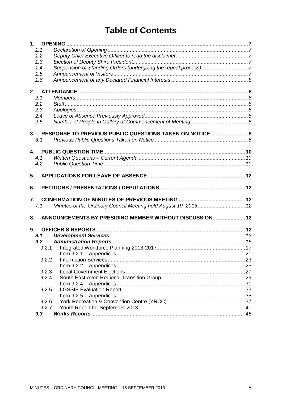### **Table of Contents**

| 1.    |                                                                 |  |
|-------|-----------------------------------------------------------------|--|
| 1.1   |                                                                 |  |
| 1.2   |                                                                 |  |
| 1.3   |                                                                 |  |
| 1.4   |                                                                 |  |
| 1.5   |                                                                 |  |
| 1.6   |                                                                 |  |
|       |                                                                 |  |
|       |                                                                 |  |
| 2.1   |                                                                 |  |
| 2.2   |                                                                 |  |
| 2.3   |                                                                 |  |
| 2.4   |                                                                 |  |
| 2.5   |                                                                 |  |
|       | 3. RESPONSE TO PREVIOUS PUBLIC QUESTIONS TAKEN ON NOTICE  8     |  |
| 3.1   |                                                                 |  |
|       |                                                                 |  |
|       |                                                                 |  |
| 4.1   |                                                                 |  |
| 4.2   |                                                                 |  |
|       |                                                                 |  |
| 5.    |                                                                 |  |
| 6.    |                                                                 |  |
|       |                                                                 |  |
| 7.    |                                                                 |  |
| 7.1   | Minutes of the Ordinary Council Meeting held August 19, 2013 12 |  |
| 8.    | ANNOUNCEMENTS BY PRESIDING MEMBER WITHOUT DISCUSSION 12         |  |
| 9.    |                                                                 |  |
| 9.1   |                                                                 |  |
| 9.2   |                                                                 |  |
| 9.2.1 |                                                                 |  |
|       |                                                                 |  |
| 9.2.2 |                                                                 |  |
|       |                                                                 |  |
| 9.2.3 |                                                                 |  |
| 9.2.4 |                                                                 |  |
|       |                                                                 |  |
|       |                                                                 |  |
| 9.2.5 |                                                                 |  |
|       |                                                                 |  |
| 9.2.6 |                                                                 |  |
| 9.2.7 |                                                                 |  |
| 9.3   |                                                                 |  |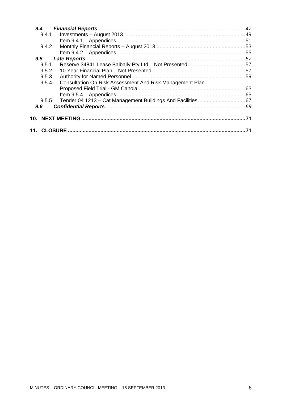| 9,4           |       |                                                          |    |
|---------------|-------|----------------------------------------------------------|----|
|               | 9.4.1 |                                                          |    |
|               |       |                                                          |    |
|               | 9.4.2 |                                                          |    |
|               |       |                                                          |    |
| $9.5^{\circ}$ |       |                                                          |    |
|               | 9.5.1 |                                                          |    |
|               | 9.5.2 |                                                          |    |
|               | 9.5.3 |                                                          |    |
|               | 9.5.4 | Consultation On Risk Assessment And Risk Management Plan |    |
|               |       |                                                          |    |
|               |       |                                                          |    |
|               | 9.5.5 |                                                          |    |
| 9.6           |       |                                                          |    |
|               |       |                                                          |    |
| 10.           |       |                                                          |    |
|               |       |                                                          |    |
|               |       |                                                          | 71 |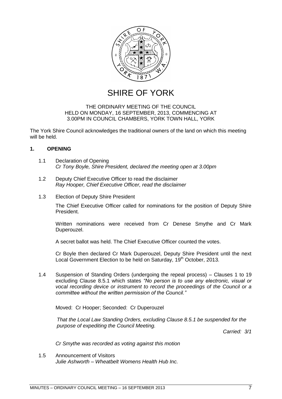

SHIRE OF YORK

#### THE ORDINARY MEETING OF THE COUNCIL HELD ON MONDAY, 16 SEPTEMBER, 2013, COMMENCING AT 3.00PM IN COUNCIL CHAMBERS, YORK TOWN HALL, YORK

The York Shire Council acknowledges the traditional owners of the land on which this meeting will be held.

#### <span id="page-6-0"></span>**1. OPENING**

- <span id="page-6-1"></span>1.1 Declaration of Opening *Cr Tony Boyle, Shire President, declared the meeting open at 3.00pm*
- <span id="page-6-2"></span>1.2 Deputy Chief Executive Officer to read the disclaimer *Ray Hooper, Chief Executive Officer, read the disclaimer*
- <span id="page-6-3"></span>1.3 Election of Deputy Shire President

The Chief Executive Officer called for nominations for the position of Deputy Shire President.

Written nominations were received from Cr Denese Smythe and Cr Mark Duperouzel.

A secret ballot was held. The Chief Executive Officer counted the votes.

Cr Boyle then declared Cr Mark Duperouzel, Deputy Shire President until the next Local Government Election to be held on Saturday, 19<sup>th</sup> October, 2013.

<span id="page-6-4"></span>1.4 Suspension of Standing Orders (undergoing the repeal process) – Clauses 1 to 19 excluding Clause 8.5.1 which states *"No person is to use any electronic, visual or vocal recording device or instrument to record the proceedings of the Council or a committee without the written permission of the Council."*

Moved: Cr Hooper; Seconded: Cr Duperouzel

*That the Local Law Standing Orders, excluding Clause 8.5.1 be suspended for the purpose of expediting the Council Meeting.*

*Carried: 3/1*

*Cr Smythe was recorded as voting against this motion*

<span id="page-6-6"></span><span id="page-6-5"></span>1.5 Announcement of Visitors *Julie Ashworth – Wheatbelt Womens Health Hub Inc.*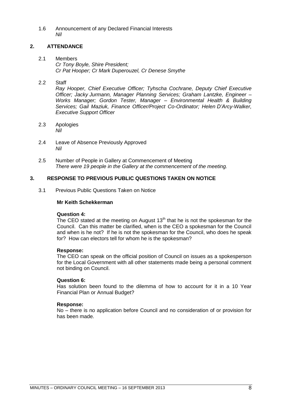1.6 Announcement of any Declared Financial Interests *Nil*

#### <span id="page-7-0"></span>**2. ATTENDANCE**

- <span id="page-7-1"></span>2.1 Members *Cr Tony Boyle, Shire President; Cr Pat Hooper; Cr Mark Duperouzel, Cr Denese Smythe*
- <span id="page-7-2"></span>2.2 Staff

*Ray Hooper, Chief Executive Officer; Tyhscha Cochrane, Deputy Chief Executive Officer; Jacky Jurmann, Manager Planning Services; Graham Lantzke, Engineer – Works Manager; Gordon Tester, Manager – Environmental Health & Building Services; Gail Maziuk, Finance Officer/Project Co-Ordinator; Helen D"Arcy-Walker, Executive Support Officer*

- <span id="page-7-3"></span>2.3 Apologies *Nil*
- <span id="page-7-4"></span>2.4 Leave of Absence Previously Approved *Nil*
- <span id="page-7-5"></span>2.5 Number of People in Gallery at Commencement of Meeting *There were 19 people in the Gallery at the commencement of the meeting.*

#### <span id="page-7-6"></span>**3. RESPONSE TO PREVIOUS PUBLIC QUESTIONS TAKEN ON NOTICE**

<span id="page-7-7"></span>3.1 Previous Public Questions Taken on Notice

#### **Mr Keith Schekkerman**

#### **Question 4:**

The CEO stated at the meeting on August  $13<sup>th</sup>$  that he is not the spokesman for the Council. Can this matter be clarified, when is the CEO a spokesman for the Council and when is he not? If he is not the spokesman for the Council, who does he speak for? How can electors tell for whom he is the spokesman?

#### **Response:**

The CEO can speak on the official position of Council on issues as a spokesperson for the Local Government with all other statements made being a personal comment not binding on Council.

#### **Question 6:**

Has solution been found to the dilemma of how to account for it in a 10 Year Financial Plan or Annual Budget?

#### **Response:**

No – there is no application before Council and no consideration of or provision for has been made.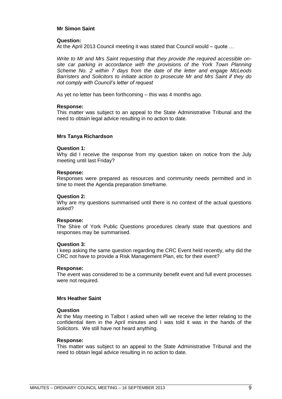#### **Mr Simon Saint**

#### **Question:**

At the April 2013 Council meeting it was stated that Council would – quote …

*Write to Mr and Mrs Saint requesting that they provide the required accessible on*site car parking in accordance with the provisions of the York Town Planning *Scheme No. 2 within 7 days from the date of the letter and engage McLeods Barristers and Solicitors to initiate action to prosecute Mr and Mrs Saint if they do not comply with Council"s letter of request*

As yet no letter has been forthcoming – this was 4 months ago.

#### **Response:**

This matter was subject to an appeal to the State Administrative Tribunal and the need to obtain legal advice resulting in no action to date.

#### **Mrs Tanya Richardson**

#### **Question 1:**

Why did I receive the response from my question taken on notice from the July meeting until last Friday?

#### **Response:**

Responses were prepared as resources and community needs permitted and in time to meet the Agenda preparation timeframe.

#### **Question 2:**

Why are my questions summarised until there is no context of the actual questions asked?

#### **Response:**

The Shire of York Public Questions procedures clearly state that questions and responses may be summarised.

#### **Question 3:**

I keep asking the same question regarding the CRC Event held recently, why did the CRC not have to provide a Risk Management Plan, etc for their event?

#### **Response:**

The event was considered to be a community benefit event and full event processes were not required.

#### **Mrs Heather Saint**

#### **Question**

At the May meeting in Talbot I asked when will we receive the letter relating to the confidential item in the April minutes and I was told it was in the hands of the Solicitors. We still have not heard anything.

#### **Response:**

<span id="page-8-0"></span>This matter was subject to an appeal to the State Administrative Tribunal and the need to obtain legal advice resulting in no action to date.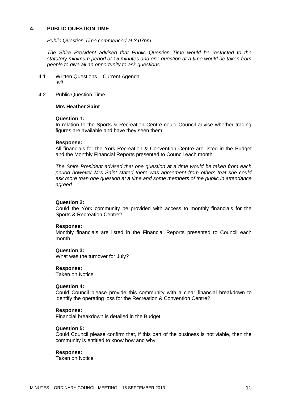#### **4. PUBLIC QUESTION TIME**

*Public Question Time commenced at 3.07pm*

*The Shire President advised that Public Question Time would be restricted to the statutory minimum period of 15 minutes and one question at a time would be taken from people to give all an opportunity to ask questions.*

- <span id="page-9-0"></span>4.1 Written Questions – Current Agenda *Nil*
- <span id="page-9-1"></span>4.2 Public Question Time

#### **Mrs Heather Saint**

#### **Question 1:**

In relation to the Sports & Recreation Centre could Council advise whether trading figures are available and have they seen them.

#### **Response:**

All financials for the York Recreation & Convention Centre are listed in the Budget and the Monthly Financial Reports presented to Council each month.

*The Shire President advised that one question at a time would be taken from each period however Mrs Saint stated there was agreement from others that she could ask more than one question at a time and some members of the public in attendance agreed.*

#### **Question 2:**

Could the York community be provided with access to monthly financials for the Sports & Recreation Centre?

#### **Response:**

Monthly financials are listed in the Financial Reports presented to Council each month.

#### **Question 3:**

What was the turnover for July?

#### **Response:**

Taken on Notice

#### **Question 4:**

Could Council please provide this community with a clear financial breakdown to identify the operating loss for the Recreation & Convention Centre?

#### **Response:**

Financial breakdown is detailed in the Budget.

#### **Question 5:**

Could Council please confirm that, if this part of the business is not viable, then the community is entitled to know how and why.

#### **Response:**

Taken on Notice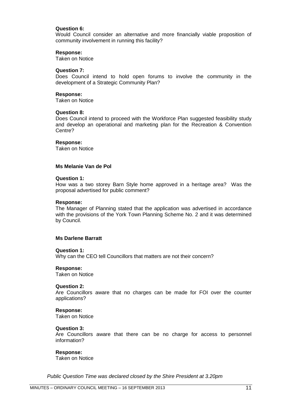#### **Question 6:**

Would Council consider an alternative and more financially viable proposition of community involvement in running this facility?

#### **Response:**

Taken on Notice

#### **Question 7:**

Does Council intend to hold open forums to involve the community in the development of a Strategic Community Plan?

#### **Response:**

Taken on Notice

#### **Question 8:**

Does Council intend to proceed with the Workforce Plan suggested feasibility study and develop an operational and marketing plan for the Recreation & Convention Centre?

#### **Response:**

Taken on Notice

#### **Ms Melanie Van de Pol**

#### **Question 1:**

How was a two storey Barn Style home approved in a heritage area? Was the proposal advertised for public comment?

#### **Response:**

The Manager of Planning stated that the application was advertised in accordance with the provisions of the York Town Planning Scheme No. 2 and it was determined by Council.

#### **Ms Darlene Barratt**

#### **Question 1:**

Why can the CEO tell Councillors that matters are not their concern?

#### **Response:**

Taken on Notice

#### **Question 2:**

Are Councillors aware that no charges can be made for FOI over the counter applications?

#### **Response:**

Taken on Notice

#### **Question 3:**

Are Councillors aware that there can be no charge for access to personnel information?

#### **Response:**

Taken on Notice

*Public Question Time was declared closed by the Shire President at 3.20pm*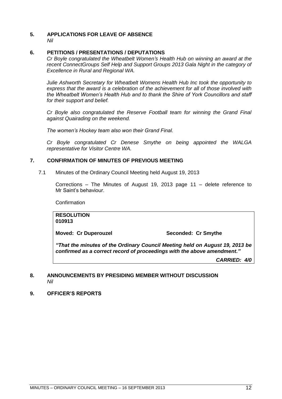#### <span id="page-11-0"></span>**5. APPLICATIONS FOR LEAVE OF ABSENCE**  *Nil*

#### <span id="page-11-1"></span>**6. PETITIONS / PRESENTATIONS / DEPUTATIONS**

*Cr Boyle congratulated the Wheatbelt Women"s Health Hub on winning an award at the*  recent ConnectGroups Self Help and Support Groups 2013 Gala Night in the category of *Excellence in Rural and Regional WA.*

*Julie Ashworth Secretary for Wheatbelt Womens Health Hub Inc took the opportunity to express that the award is a celebration of the achievement for all of those involved with the Wheatbelt Women"s Health Hub and to thank the Shire of York Councillors and staff for their support and belief.*

*Cr Boyle also congratulated the Reserve Football team for winning the Grand Final against Quairading on the weekend.*

*The women"s Hockey team also won their Grand Final.*

*Cr Boyle congratulated Cr Denese Smythe on being appointed the WALGA representative for Visitor Centre WA.*

#### <span id="page-11-2"></span>**7. CONFIRMATION OF MINUTES OF PREVIOUS MEETING**

<span id="page-11-3"></span>7.1 Minutes of the Ordinary Council Meeting held August 19, 2013

Corrections – The Minutes of August 19, 2013 page 11 – delete reference to Mr Saint's behaviour.

Confirmation

**RESOLUTION 010913**

**Moved: Cr Duperouzel Seconded: Cr Smythe**

*"That the minutes of the Ordinary Council Meeting held on August 19, 2013 be confirmed as a correct record of proceedings with the above amendment."*

*CARRIED: 4/0*

#### <span id="page-11-4"></span>**8. ANNOUNCEMENTS BY PRESIDING MEMBER WITHOUT DISCUSSION** *Nil*

<span id="page-11-5"></span>**9. OFFICER'S REPORTS**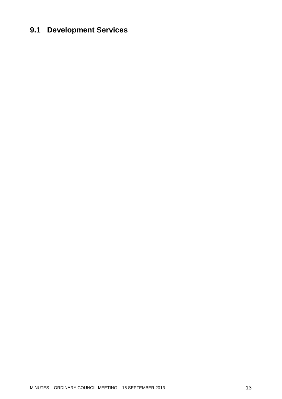### <span id="page-12-0"></span>**9.1 Development Services**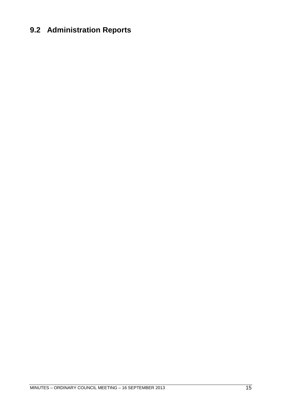### <span id="page-14-0"></span>**9.2 Administration Reports**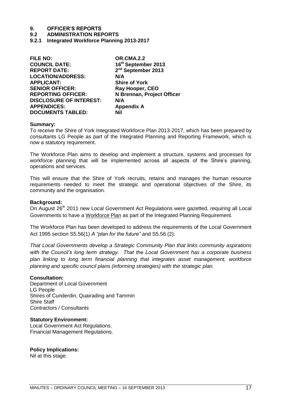#### **9.2 ADMINISTRATION REPORTS**

<span id="page-16-0"></span>**9.2.1 Integrated Workforce Planning 2013-2017**

| <b>FILE NO:</b>                | <b>OR.CMA.2.2</b>              |
|--------------------------------|--------------------------------|
| <b>COUNCIL DATE:</b>           | 16th September 2013            |
| <b>REPORT DATE:</b>            | 2 <sup>nd</sup> September 2013 |
| <b>LOCATION/ADDRESS:</b>       | N/A                            |
| <b>APPLICANT:</b>              | <b>Shire of York</b>           |
| <b>SENIOR OFFICER:</b>         | Ray Hooper, CEO                |
| <b>REPORTING OFFICER:</b>      | N Brennan, Project Officer     |
| <b>DISCLOSURE OF INTEREST:</b> | N/A                            |
| <b>APPENDICES:</b>             | <b>Appendix A</b>              |
| <b>DOCUMENTS TABLED:</b>       | Nil                            |
|                                |                                |

#### **Summary:**

To receive the Shire of York Integrated Workforce Plan 2013-2017, which has been prepared by consultants LG People as part of the Integrated Planning and Reporting Framework, which is now a statutory requirement.

The Workforce Plan aims to develop and implement a structure, systems and processes for workforce planning that will be implemented across all aspects of the Shire's planning, operations and services.

This will ensure that the Shire of York recruits, retains and manages the human resource requirements needed to meet the strategic and operational objectives of the Shire, its community and the organisation.

#### **Background:**

On August 26<sup>th</sup> 2011 new Local Government Act Regulations were gazetted, requiring all Local Governments to have a Workforce Plan as part of the Integrated Planning Requirement.

The Workforce Plan has been developed to address the requirements of the Local Government Act 1995 section S5.56(1) *A "plan for the future"* and S5.56 (2):

*That Local Governments develop a Strategic Community Plan that links community aspirations with the Council"s long term strategy. That the Local Government has a corporate business plan linking to long term financial planning that integrates asset management, workforce planning and specific council plans (informing strategies) with the strategic plan.*

#### **Consultation:**

Department of Local Government LG People Shires of Cunderdin, Quairading and Tammin Shire Staff Contractors / Consultants

#### **Statutory Environment:**

Local Government Act Regulations. Financial Management Regulations.

### **Policy Implications:**

Nil at this stage.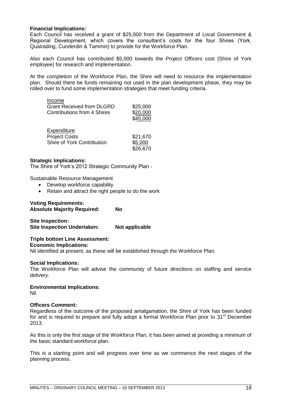#### **Financial Implications:**

Each Council has received a grant of \$25,000 from the Department of Local Government & Regional Development, which covers the consultant's costs for the four Shires (York, Quairading, Cunderdin & Tammin) to provide for the Workforce Plan.

Also each Council has contributed \$5,000 towards the Project Officers cost (Shire of York employee) for research and implementation.

At the completion of the Workforce Plan, the Shire will need to resource the implementation plan. Should there be funds remaining not used in the plan development phase, they may be rolled over to fund some implementation strategies that meet funding criteria.

| Income                           | \$25,000 |
|----------------------------------|----------|
| <b>Grant Received from DLGRD</b> | \$20,000 |
| Contributions from 4 Shires      | \$45,000 |
| Expenditure                      | \$21,670 |
| <b>Project Costs</b>             | \$5,000  |
| Shire of York Contribution       | \$26,670 |

#### **Strategic Implications:**

The Shire of York's 2012 Strategic Community Plan -

Sustainable Resource Management

- Develop workforce capability
- Retain and attract the right people to do the work

#### **Voting Requirements:**

| <b>Absolute Majority Required:</b> |
|------------------------------------|
|------------------------------------|

**Site Inspection: Site Inspection Undertaken: Not applicable**

#### **Triple bottom Line Assessment:**

#### **Economic Implications:**

Nil identified at present, as these will be established through the Workforce Plan.

#### **Social Implications:**

The Workforce Plan will advise the community of future directions on staffing and service delivery.

**Environmental Implications:**

Nil.

#### **Officers Comment:**

Regardless of the outcome of the proposed amalgamation, the Shire of York has been funded for and is required to prepare and fully adopt a formal Workforce Plan prior to  $31<sup>st</sup>$  December 2013.

As this is only the first stage of the Workforce Plan, it has been aimed at providing a minimum of the basic standard workforce plan.

This is a starting point and will progress over time as we commence the next stages of the planning process.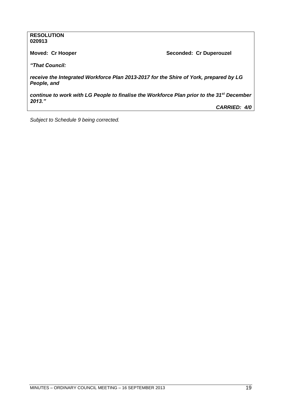#### **RESOLUTION 020913**

**Moved: Cr Hooper Seconded: Cr Duperouzel** 

*"That Council:*

*receive the Integrated Workforce Plan 2013-2017 for the Shire of York, prepared by LG People, and*

*continue to work with LG People to finalise the Workforce Plan prior to the 31st December 2013."*

*CARRIED: 4/0*

*Subject to Schedule 9 being corrected.*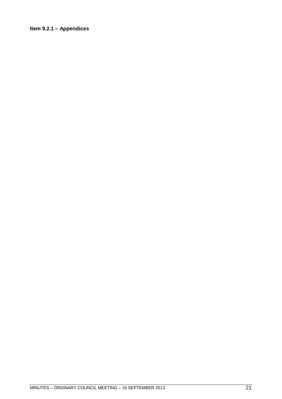### <span id="page-20-0"></span>**Item 9.2.1 – Appendices**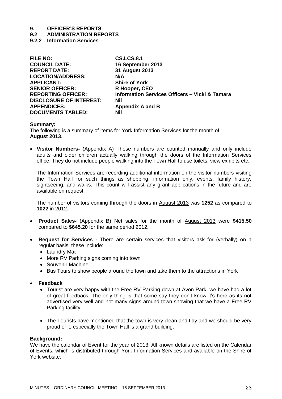#### **9.2 ADMINISTRATION REPORTS**

<span id="page-22-0"></span>**9.2.2 Information Services**

| <b>CS.LCS.8.1</b>                                         |
|-----------------------------------------------------------|
| 16 September 2013                                         |
| 31 August 2013                                            |
| N/A                                                       |
| <b>Shire of York</b>                                      |
| R Hooper, CEO                                             |
| <b>Information Services Officers - Vicki &amp; Tamara</b> |
| <b>Nil</b>                                                |
| <b>Appendix A and B</b>                                   |
| <b>Nil</b>                                                |
|                                                           |

#### **Summary:**

The following is a summary of items for York Information Services for the month of **August 2013**.

 **Visitor Numbers-** (Appendix A) These numbers are counted manually and only include adults and older children actually walking through the doors of the Information Services office. They do not include people walking into the Town Hall to use toilets, view exhibits etc.

The Information Services are recording additional information on the visitor numbers visiting the Town Hall for such things as shopping, information only, events, family history, sightseeing, and walks. This count will assist any grant applications in the future and are available on request.

The number of visitors coming through the doors in August 2013 was **1252** as compared to **1022** in 2012**.** 

- **Product Sales-** (Appendix B) Net sales for the month of August 2013 were **\$415.50**  compared to **\$645.20** for the same period 2012.
- **Request for Services -** There are certain services that visitors ask for (verbally) on a regular basis, these include:
	- Laundry Mat
	- More RV Parking signs coming into town
	- Souvenir Machine
	- Bus Tours to show people around the town and take them to the attractions in York
- **Feedback** 
	- Tourist are very happy with the Free RV Parking down at Avon Park, we have had a lot of great feedback. The only thing is that some say they don't know it's here as its not advertised very well and not many signs around town showing that we have a Free RV Parking facility.
	- The Tourists have mentioned that the town is very clean and tidy and we should be very proud of it, especially the Town Hall is a grand building.

#### **Background:**

We have the calendar of Event for the year of 2013. All known details are listed on the Calendar of Events, which is distributed through York Information Services and available on the Shire of York website.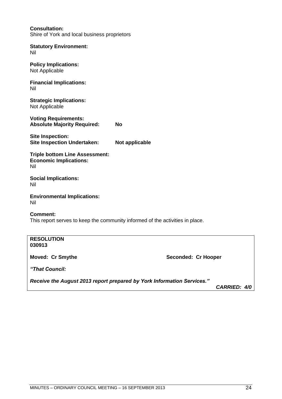|                                                                                                  | Receive the August 2013 report prepared by York Information Services." | CARRIED: 4/0 |
|--------------------------------------------------------------------------------------------------|------------------------------------------------------------------------|--------------|
| "That Council:                                                                                   |                                                                        |              |
| <b>Moved: Cr Smythe</b>                                                                          | Seconded: Cr Hooper                                                    |              |
| <b>RESOLUTION</b><br>030913                                                                      |                                                                        |              |
| <b>Comment:</b><br>This report serves to keep the community informed of the activities in place. |                                                                        |              |
| <b>Environmental Implications:</b><br>Nil                                                        |                                                                        |              |
| <b>Social Implications:</b><br>Nil                                                               |                                                                        |              |
| <b>Triple bottom Line Assessment:</b><br><b>Economic Implications:</b><br>Nil                    |                                                                        |              |
| <b>Site Inspection:</b><br><b>Site Inspection Undertaken:</b>                                    | Not applicable                                                         |              |
| <b>Voting Requirements:</b><br><b>Absolute Majority Required:</b>                                | <b>No</b>                                                              |              |
| <b>Strategic Implications:</b><br>Not Applicable                                                 |                                                                        |              |
| <b>Financial Implications:</b><br>Nil                                                            |                                                                        |              |
| <b>Policy Implications:</b><br>Not Applicable                                                    |                                                                        |              |
| <b>Statutory Environment:</b><br>Nil                                                             |                                                                        |              |
| <b>Consultation:</b><br>Shire of York and local business proprietors                             |                                                                        |              |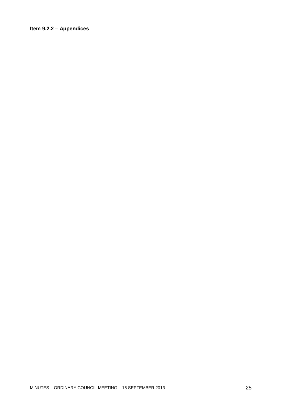#### <span id="page-24-0"></span>**Item 9.2.2 – Appendices**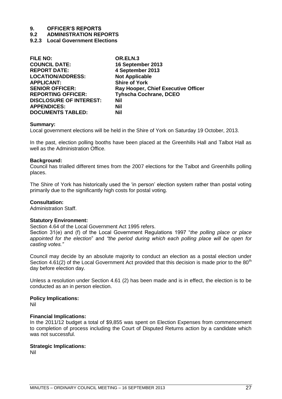#### **9.2 ADMINISTRATION REPORTS**

<span id="page-26-0"></span>**9.2.3 Local Government Elections**

| OR.ELN.3                                   |
|--------------------------------------------|
| 16 September 2013                          |
| 4 September 2013                           |
| <b>Not Applicable</b>                      |
| <b>Shire of York</b>                       |
| <b>Ray Hooper, Chief Executive Officer</b> |
| <b>Tyhscha Cochrane, DCEO</b>              |
| Nil                                        |
| Nil                                        |
| Nil                                        |
|                                            |

#### **Summary:**

Local government elections will be held in the Shire of York on Saturday 19 October, 2013.

In the past, election polling booths have been placed at the Greenhills Hall and Talbot Hall as well as the Administration Office.

#### **Background:**

Council has trialled different times from the 2007 elections for the Talbot and Greenhills polling places.

The Shire of York has historically used the 'in person' election system rather than postal voting primarily due to the significantly high costs for postal voting.

#### **Consultation:**

Administration Staff.

#### **Statutory Environment:**

Section 4.64 of the Local Government Act 1995 refers.

Section 31(e) and (f) of the Local Government Regulations 1997 "the polling place or place *appointed for the election*‖ and *"the period during which each polling place will be open for casting votes."*

Council may decide by an absolute majority to conduct an election as a postal election under Section 4.61(2) of the Local Government Act provided that this decision is made prior to the  $80<sup>th</sup>$ day before election day.

Unless a resolution under Section 4.61 (2) has been made and is in effect, the election is to be conducted as an in person election.

#### **Policy Implications:**

Nil

#### **Financial Implications:**

In the 2011/12 budget a total of \$9,855 was spent on Election Expenses from commencement to completion of process including the Court of Disputed Returns action by a candidate which was not successful.

#### **Strategic Implications:**

Nil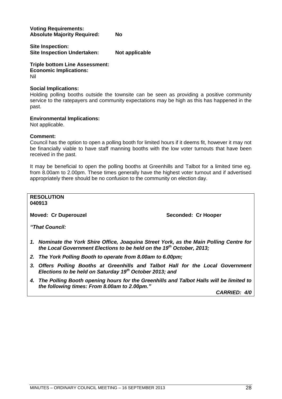**Voting Requirements: Absolute Majority Required: No**

**Site Inspection: Site Inspection Undertaken: Not applicable**

**Triple bottom Line Assessment: Economic Implications:** Nil

#### **Social Implications:**

Holding polling booths outside the townsite can be seen as providing a positive community service to the ratepayers and community expectations may be high as this has happened in the past.

#### **Environmental Implications:**

Not applicable.

#### **Comment:**

Council has the option to open a polling booth for limited hours if it deems fit, however it may not be financially viable to have staff manning booths with the low voter turnouts that have been received in the past.

It may be beneficial to open the polling booths at Greenhills and Talbot for a limited time eg. from 8.00am to 2.00pm. These times generally have the highest voter turnout and if advertised appropriately there should be no confusion to the community on election day.

### **RESOLUTION**

**040913**

**Moved: Cr Duperouzel Seconded: Cr Hooper**

*"That Council:*

- *1. Nominate the York Shire Office, Joaquina Street York, as the Main Polling Centre for the Local Government Elections to be held on the 19 th October, 2013;*
- *2. The York Polling Booth to operate from 8.00am to 6.00pm;*
- *3. Offers Polling Booths at Greenhills and Talbot Hall for the Local Government Elections to be held on Saturday 19th October 2013; and*
- *4. The Polling Booth opening hours for the Greenhills and Talbot Halls will be limited to the following times: From 8.00am to 2.00pm."*

*CARRIED: 4/0*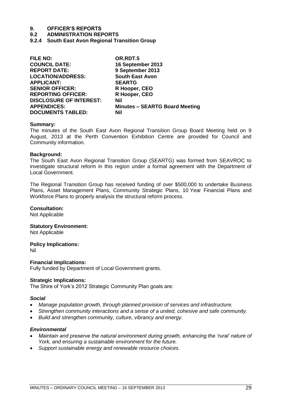#### **9.2 ADMINISTRATION REPORTS**

<span id="page-28-0"></span>**9.2.4 South East Avon Regional Transition Group**

| <b>South East Avon</b><br><b>LOCATION/ADDRESS:</b><br><b>APPLICANT:</b><br><b>SEARTG</b><br>R Hooper, CEO<br><b>SENIOR OFFICER:</b><br>R Hooper, CEO<br><b>REPORTING OFFICER:</b><br><b>DISCLOSURE OF INTEREST:</b><br>Nil<br><b>APPENDICES:</b><br>Nil | <b>FILE NO:</b><br><b>COUNCIL DATE:</b><br><b>REPORT DATE:</b> | OR.RDT.5<br>16 September 2013<br>9 September 2013 |
|---------------------------------------------------------------------------------------------------------------------------------------------------------------------------------------------------------------------------------------------------------|----------------------------------------------------------------|---------------------------------------------------|
|                                                                                                                                                                                                                                                         |                                                                |                                                   |
|                                                                                                                                                                                                                                                         |                                                                |                                                   |
|                                                                                                                                                                                                                                                         |                                                                |                                                   |
|                                                                                                                                                                                                                                                         | <b>DOCUMENTS TABLED:</b>                                       | <b>Minutes - SEARTG Board Meeting</b>             |

#### **Summary:**

The minutes of the South East Avon Regional Transition Group Board Meeting held on 9 August, 2013 at the Perth Convention Exhibition Centre are provided for Council and Community information.

#### **Background:**

The South East Avon Regional Transition Group (SEARTG) was formed from SEAVROC to investigate structural reform in this region under a formal agreement with the Department of Local Government.

The Regional Transition Group has received funding of over \$500,000 to undertake Business Plans, Asset Management Plans, Community Strategic Plans, 10 Year Financial Plans and Workforce Plans to properly analysis the structural reform process.

#### **Consultation:**

Not Applicable

#### **Statutory Environment:**

Not Applicable

**Policy Implications:**

Nil

#### **Financial Implications:**

Fully funded by Department of Local Government grants.

#### **Strategic Implications:**

The Shire of York's 2012 Strategic Community Plan goals are:

#### *Social*

- *Manage population growth, through planned provision of services and infrastructure.*
- *Strengthen community interactions and a sense of a united, cohesive and safe community.*
- *Build and strengthen community, culture, vibrancy and energy.*

#### *Environmental*

- *Maintain and preserve the natural environment during growth, enhancing the "rural" nature of York, and ensuring a sustainable environment for the future.*
- *Support sustainable energy and renewable resource choices.*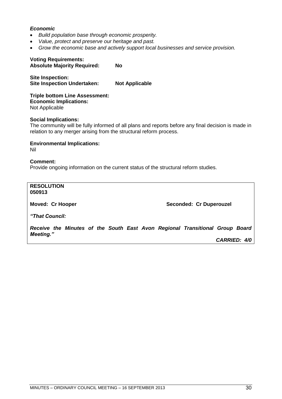#### *Economic*

- *Build population base through economic prosperity.*
- *Value, protect and preserve our heritage and past.*
- *Grow the economic base and actively support local businesses and service provision.*

#### **Voting Requirements: Absolute Majority Required: No**

**Site Inspection: Site Inspection Undertaken: Not Applicable**

**Triple bottom Line Assessment: Economic Implications:** Not Applicable

#### **Social Implications:**

The community will be fully informed of all plans and reports before any final decision is made in relation to any merger arising from the structural reform process.

**Environmental Implications:** Nil

#### **Comment:** Provide ongoing information on the current status of the structural reform studies.

**RESOLUTION 050913**

**Moved: Cr Hooper Seconded: Cr Duperouzel** 

*"That Council:*

*Receive the Minutes of the South East Avon Regional Transitional Group Board Meeting."*

*CARRIED: 4/0*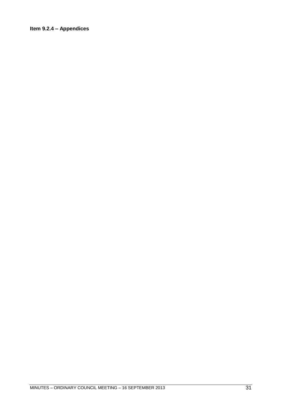### <span id="page-30-0"></span>**Item 9.2.4 – Appendices**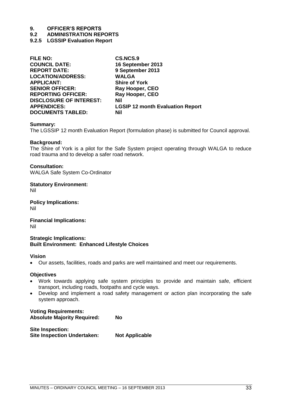**9.2 ADMINISTRATION REPORTS**

#### <span id="page-32-0"></span>**9.2.5 LGSSIP Evaluation Report**

| <b>FILE NO:</b>                | <b>CS.NCS.9</b>                         |
|--------------------------------|-----------------------------------------|
| <b>COUNCIL DATE:</b>           | 16 September 2013                       |
| <b>REPORT DATE:</b>            | 9 September 2013                        |
| <b>LOCATION/ADDRESS:</b>       | <b>WALGA</b>                            |
| <b>APPLICANT:</b>              | <b>Shire of York</b>                    |
| <b>SENIOR OFFICER:</b>         | Ray Hooper, CEO                         |
| <b>REPORTING OFFICER:</b>      | Ray Hooper, CEO                         |
| <b>DISCLOSURE OF INTEREST:</b> | <b>Nil</b>                              |
| <b>APPENDICES:</b>             | <b>LGSIP 12 month Evaluation Report</b> |
| <b>DOCUMENTS TABLED:</b>       | Nil                                     |
|                                |                                         |

#### **Summary:**

The LGSSIP 12 month Evaluation Report (formulation phase) is submitted for Council approval.

#### **Background:**

The Shire of York is a pilot for the Safe System project operating through WALGA to reduce road trauma and to develop a safer road network.

#### **Consultation:**

WALGA Safe System Co-Ordinator

**Statutory Environment:** Nil

**Policy Implications:** Nil

**Financial Implications:** Nil

**Strategic Implications: Built Environment: Enhanced Lifestyle Choices**

#### **Vision**

Our assets, facilities, roads and parks are well maintained and meet our requirements.

#### **Objectives**

- Work towards applying safe system principles to provide and maintain safe, efficient transport, including roads, footpaths and cycle ways.
- Develop and implement a road safety management or action plan incorporating the safe system approach.

#### **Voting Requirements: Absolute Majority Required: No**

| Site Inspection:                   |                       |
|------------------------------------|-----------------------|
| <b>Site Inspection Undertaken:</b> | <b>Not Applicable</b> |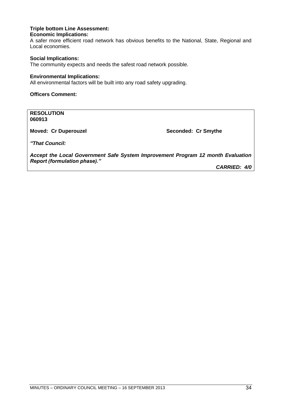#### **Triple bottom Line Assessment: Economic Implications:**

A safer more efficient road network has obvious benefits to the National, State, Regional and Local economies.

#### **Social Implications:**

The community expects and needs the safest road network possible.

#### **Environmental Implications:**

All environmental factors will be built into any road safety upgrading.

#### **Officers Comment:**

**RESOLUTION 060913**

**Moved: Cr Duperouzel Seconded: Cr Smythe Seconded: Cr Smythe** 

*"That Council:*

*Accept the Local Government Safe System Improvement Program 12 month Evaluation Report (formulation phase)."*

*CARRIED: 4/0*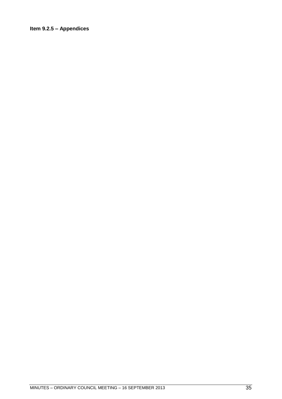#### <span id="page-34-0"></span>**Item 9.2.5 – Appendices**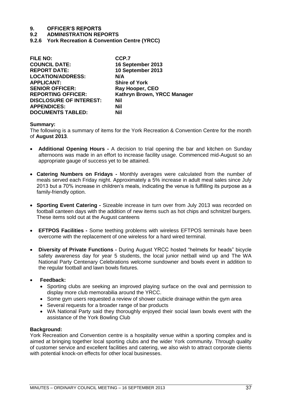**9.2 ADMINISTRATION REPORTS**

<span id="page-36-0"></span>**9.2.6 York Recreation & Convention Centre (YRCC)**

| <b>FILE NO:</b>                | CCP.7                       |
|--------------------------------|-----------------------------|
| <b>COUNCIL DATE:</b>           | 16 September 2013           |
| <b>REPORT DATE:</b>            | 10 September 2013           |
| <b>LOCATION/ADDRESS:</b>       | N/A                         |
| <b>APPLICANT:</b>              | <b>Shire of York</b>        |
| <b>SENIOR OFFICER:</b>         | Ray Hooper, CEO             |
| <b>REPORTING OFFICER:</b>      | Kathryn Brown, YRCC Manager |
| <b>DISCLOSURE OF INTEREST:</b> | <b>Nil</b>                  |
| <b>APPENDICES:</b>             | Nil                         |
| <b>DOCUMENTS TABLED:</b>       | Nil                         |

#### **Summary:**

The following is a summary of items for the York Recreation & Convention Centre for the month of **August 2013**.

- **Additional Opening Hours -** A decision to trial opening the bar and kitchen on Sunday afternoons was made in an effort to increase facility usage. Commenced mid-August so an appropriate gauge of success yet to be attained.
- **Catering Numbers on Fridays -** Monthly averages were calculated from the number of meals served each Friday night. Approximately a 5% increase in adult meal sales since July 2013 but a 70% increase in children's meals, indicating the venue is fulfilling its purpose as a family-friendly option.
- **Sporting Event Catering -** Sizeable increase in turn over from July 2013 was recorded on football canteen days with the addition of new items such as hot chips and schnitzel burgers. These items sold out at the August canteens
- **EFTPOS Facilities -** Some teething problems with wireless EFTPOS terminals have been overcome with the replacement of one wireless for a hard wired terminal.
- **Diversity of Private Functions -** During August YRCC hosted "helmets for heads" bicycle safety awareness day for year 5 students, the local junior netball wind up and The WA National Party Centenary Celebrations welcome sundowner and bowls event in addition to the regular football and lawn bowls fixtures.
- **Feedback:**
	- Sporting clubs are seeking an improved playing surface on the oval and permission to display more club memorabilia around the YRCC.
	- Some gym users requested a review of shower cubicle drainage within the gym area
	- Several requests for a broader range of bar products
	- WA National Party said they thoroughly enjoyed their social lawn bowls event with the assistance of the York Bowling Club

#### **Background:**

York Recreation and Convention centre is a hospitality venue within a sporting complex and is aimed at bringing together local sporting clubs and the wider York community. Through quality of customer service and excellent facilities and catering, we also wish to attract corporate clients with potential knock-on effects for other local businesses.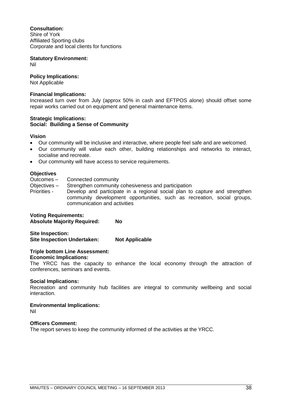#### **Consultation:**

Shire of York Affiliated Sporting clubs Corporate and local clients for functions

### **Statutory Environment:**

Nil

### **Policy Implications:**

Not Applicable

#### **Financial Implications:**

Increased turn over from July (approx 50% in cash and EFTPOS alone) should offset some repair works carried out on equipment and general maintenance items.

#### **Strategic Implications: Social: Building a Sense of Community**

#### **Vision**

- Our community will be inclusive and interactive, where people feel safe and are welcomed.
- Our community will value each other, building relationships and networks to interact, socialise and recreate.
- Our community will have access to service requirements.

#### **Objectives**

- Outcomes Connected community
- Objectives Strengthen community cohesiveness and participation
- Priorities Develop and participate in a regional social plan to capture and strengthen community development opportunities, such as recreation, social groups, communication and activities

**Voting Requirements: Absolute Majority Required: No**

**Site Inspection: Site Inspection Undertaken: Not Applicable**

#### **Triple bottom Line Assessment:**

#### **Economic Implications:**

The YRCC has the capacity to enhance the local economy through the attraction of conferences, seminars and events.

#### **Social Implications:**

Recreation and community hub facilities are integral to community wellbeing and social interaction.

#### **Environmental Implications:**

Nil

#### **Officers Comment:**

The report serves to keep the community informed of the activities at the YRCC.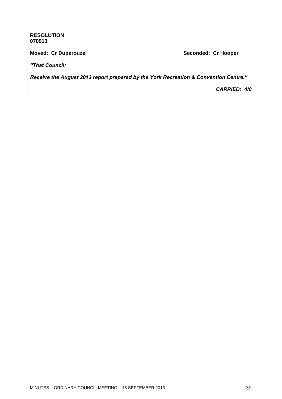#### **RESOLUTION 070913**

**Moved: Cr Duperouzel Seconded: Cr Hooper**

*"That Council:*

*Receive the August 2013 report prepared by the York Recreation & Convention Centre."*

*CARRIED: 4/0*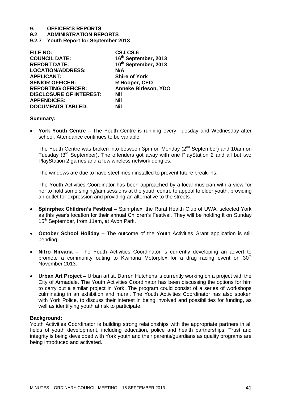**9.2 ADMINISTRATION REPORTS**

<span id="page-40-0"></span>**9.2.7 Youth Report for September 2013**

| <b>FILE NO:</b>                | CS.LCS.6                    |
|--------------------------------|-----------------------------|
| <b>COUNCIL DATE:</b>           | 16th September, 2013        |
| <b>REPORT DATE:</b>            | 10th September, 2013        |
| <b>LOCATION/ADDRESS:</b>       | N/A                         |
| <b>APPLICANT:</b>              | <b>Shire of York</b>        |
| <b>SENIOR OFFICER:</b>         | R Hooper, CEO               |
| <b>REPORTING OFFICER:</b>      | <b>Anneke Birleson, YDO</b> |
| <b>DISCLOSURE OF INTEREST:</b> | Nil                         |
| <b>APPENDICES:</b>             | Nil                         |
| <b>DOCUMENTS TABLED:</b>       | Nil                         |

#### **Summary:**

 **York Youth Centre –** The Youth Centre is running every Tuesday and Wednesday after school. Attendance continues to be variable.

The Youth Centre was broken into between 3pm on Monday (2<sup>nd</sup> September) and 10am on Tuesday  $(3<sup>rd</sup>$  September). The offenders got away with one PlayStation 2 and all but two PlayStation 2 games and a few wireless network dongles.

The windows are due to have steel mesh installed to prevent future break-ins.

The Youth Activities Coordinator has been approached by a local musician with a view for her to hold some singing/jam sessions at the youth centre to appeal to older youth, providing an outlet for expression and providing an alternative to the streets.

- **Spinrphex Children's Festival –** Spinrphex, the Rural Health Club of UWA, selected York as this year's location for their annual Children's Festival. They will be holding it on Sunday 15<sup>th</sup> September, from 11am, at Avon Park.
- **October School Holiday –** The outcome of the Youth Activities Grant application is still pending.
- **Nitro Nirvana –** The Youth Activities Coordinator is currently developing an advert to promote a community outing to Kwinana Motorplex for a drag racing event on  $30<sup>th</sup>$ November 2013.
- **Urban Art Project –** Urban artist, Darren Hutchens is currently working on a project with the City of Armadale. The Youth Activities Coordinator has been discussing the options for him to carry out a similar project in York. The program could consist of a series of workshops culminating in an exhibition and mural. The Youth Activities Coordinator has also spoken with York Police, to discuss their interest in being involved and possibilities for funding, as well as identifying youth at risk to participate.

#### **Background:**

Youth Activities Coordinator is building strong relationships with the appropriate partners in all fields of youth development, including education, police and health partnerships. Trust and integrity is being developed with York youth and their parents/guardians as quality programs are being introduced and activated.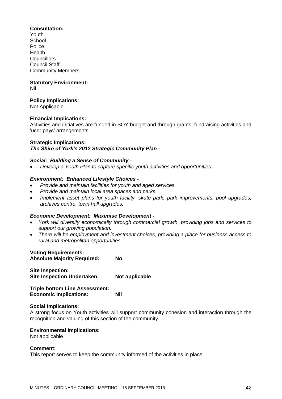#### **Consultation:**

Youth School Police Health **Councillors** Council Staff Community Members

#### **Statutory Environment:** Nil

#### **Policy Implications:**

Not Applicable

#### **Financial Implications:**

Activities and initiatives are funded in SOY budget and through grants, fundraising activities and 'user pays' arrangements.

#### **Strategic Implications:**

#### *The Shire of York's 2012 Strategic Community Plan -*

#### *Social: Building a Sense of Community -*

*Develop a Youth Plan to capture specific youth activities and opportunities.*

#### *Environment: Enhanced Lifestyle Choices -*

- *Provide and maintain facilities for youth and aged services.*
- *Provide and maintain local area spaces and parks.*
- *Implement asset plans for youth facility, skate park, park improvements, pool upgrades, archives centre, town hall upgrades.*

#### *Economic Development: Maximise Development -*

- *York will diversify economically through commercial growth, providing jobs and services to support our growing population.*
- *There will be employment and investment choices, providing a place for business access to rural and metropolitan opportunities.*

#### **Voting Requirements:**

| <b>Absolute Majority Required:</b>                            | No             |
|---------------------------------------------------------------|----------------|
| <b>Site Inspection:</b><br><b>Site Inspection Undertaken:</b> | Not applicable |

**Triple bottom Line Assessment: Economic Implications: Nil**

#### **Social Implications:**

A strong focus on Youth activities will support community cohesion and interaction through the recognition and valuing of this section of the community.

#### **Environmental Implications:**

Not applicable

#### **Comment:**

This report serves to keep the community informed of the activities in place.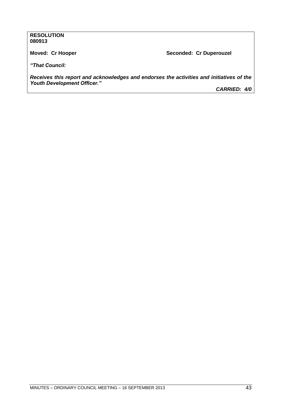#### **RESOLUTION 080913**

**Moved: Cr Hooper Seconded: Cr Duperouzel** 

*"That Council:*

*Receives this report and acknowledges and endorses the activities and initiatives of the Youth Development Officer."*

*CARRIED: 4/0*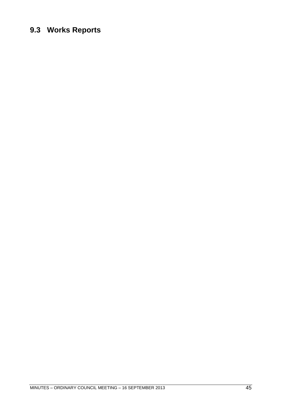### <span id="page-44-0"></span>**9.3 Works Reports**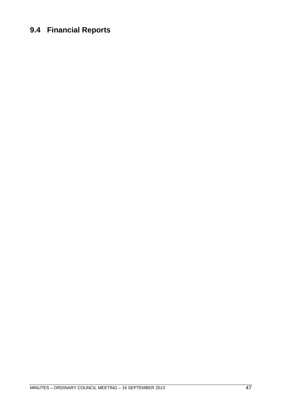### <span id="page-46-0"></span>**9.4 Financial Reports**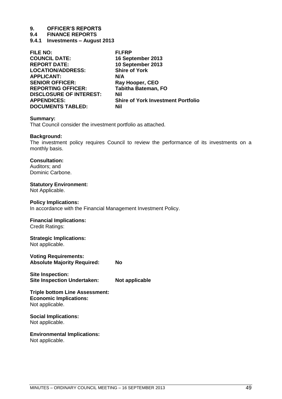**9.4 FINANCE REPORTS**

<span id="page-48-0"></span>**9.4.1 Investments – August 2013**

| <b>FILE NO:</b>                | <b>FI.FRP</b>                             |
|--------------------------------|-------------------------------------------|
| <b>COUNCIL DATE:</b>           | 16 September 2013                         |
| <b>REPORT DATE:</b>            | 10 September 2013                         |
| <b>LOCATION/ADDRESS:</b>       | <b>Shire of York</b>                      |
| <b>APPLICANT:</b>              | N/A                                       |
| <b>SENIOR OFFICER:</b>         | Ray Hooper, CEO                           |
| <b>REPORTING OFFICER:</b>      | <b>Tabitha Bateman, FO</b>                |
| <b>DISCLOSURE OF INTEREST:</b> | <b>Nil</b>                                |
| <b>APPENDICES:</b>             | <b>Shire of York Investment Portfolio</b> |
| <b>DOCUMENTS TABLED:</b>       | Nil                                       |

#### **Summary:**

That Council consider the investment portfolio as attached.

#### **Background:**

The investment policy requires Council to review the performance of its investments on a monthly basis.

#### **Consultation:**

Auditors; and Dominic Carbone.

#### **Statutory Environment:**

Not Applicable.

#### **Policy Implications:**

In accordance with the Financial Management Investment Policy.

#### **Financial Implications:**

Credit Ratings:

#### **Strategic Implications:**

Not applicable.

**Voting Requirements: Absolute Majority Required: No**

**Site Inspection: Site Inspection Undertaken: Not applicable**

#### **Triple bottom Line Assessment: Economic Implications:** Not applicable.

#### **Social Implications:** Not applicable.

**Environmental Implications:**

Not applicable.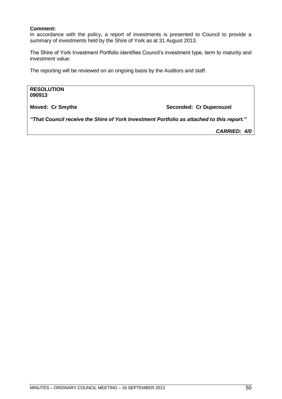#### **Comment:**

In accordance with the policy, a report of investments is presented to Council to provide a summary of investments held by the Shire of York as at 31 August 2013.

The Shire of York Investment Portfolio identifies Council's investment type, term to maturity and investment value.

The reporting will be reviewed on an ongoing basis by the Auditors and staff.

**RESOLUTION 090913 Moved: Cr Smythe Seconded: Cr Duperouzel** *"That Council receive the Shire of York Investment Portfolio as attached to this report."*

*CARRIED: 4/0*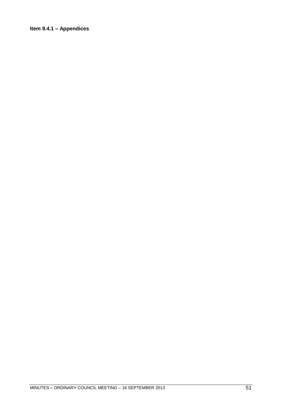### <span id="page-50-0"></span>**Item 9.4.1 – Appendices**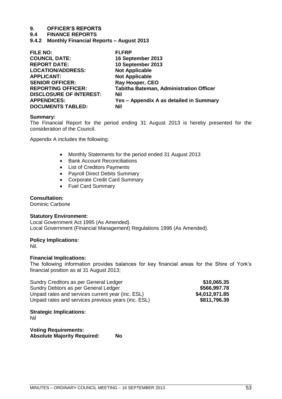#### **9.4 FINANCE REPORTS**

<span id="page-52-0"></span>**9.4.2 Monthly Financial Reports – August 2013**

| <b>FILE NO:</b>                | <b>FI.FRP</b>                                  |
|--------------------------------|------------------------------------------------|
| <b>COUNCIL DATE:</b>           | 16 September 2013                              |
| <b>REPORT DATE:</b>            | 10 September 2013                              |
| <b>LOCATION/ADDRESS:</b>       | <b>Not Applicable</b>                          |
| <b>APPLICANT:</b>              | <b>Not Applicable</b>                          |
| <b>SENIOR OFFICER:</b>         | <b>Ray Hooper, CEO</b>                         |
| <b>REPORTING OFFICER:</b>      | <b>Tabitha Bateman, Administration Officer</b> |
| <b>DISCLOSURE OF INTEREST:</b> | Nil                                            |
| <b>APPENDICES:</b>             | Yes - Appendix A as detailed in Summary        |
| <b>DOCUMENTS TABLED:</b>       | Nil                                            |

#### **Summary:**

The Financial Report for the period ending 31 August 2013 is hereby presented for the consideration of the Council.

Appendix A includes the following:

- Monthly Statements for the period ended 31 August 2013
- Bank Account Reconciliations
- List of Creditors Payments
- Payroll Direct Debits Summary
- Corporate Credit Card Summary
- Fuel Card Summary

#### **Consultation:**

Dominic Carbone

#### **Statutory Environment:**

Local Government Act 1995 (As Amended). Local Government (Financial Management) Regulations 1996 (As Amended).

#### **Policy Implications:**

Nil.

#### **Financial Implications:**

The following information provides balances for key financial areas for the Shire of York's financial position as at 31 August 2013;

| Sundry Creditors as per General Ledger              | \$10,065.35    |
|-----------------------------------------------------|----------------|
| Sundry Debtors as per General Ledger                | \$566,997.78   |
| Unpaid rates and services current year (inc. ESL)   | \$4,012,971.85 |
| Unpaid rates and services previous years (inc. ESL) | \$811,796.39   |

**Strategic Implications:** 

Nil

**Voting Requirements: Absolute Majority Required: No**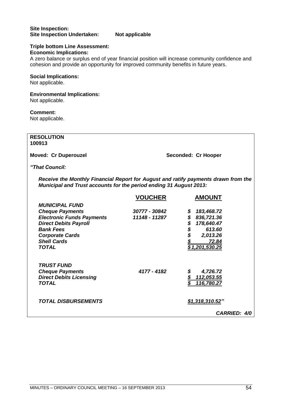#### **Site Inspection: Site Inspection Undertaken: Not applicable**

#### **Triple bottom Line Assessment: Economic Implications:**

A zero balance or surplus end of year financial position will increase community confidence and cohesion and provide an opportunity for improved community benefits in future years.

#### **Social Implications:**

Not applicable.

### **Environmental Implications:**

Not applicable.

#### **Comment:**

Not applicable.

**RESOLUTION 100913**

**Moved: Cr Duperouzel Seconded: Cr Hooper**

*"That Council:*

*Receive the Monthly Financial Report for August and ratify payments drawn from the Municipal and Trust accounts for the period ending 31 August 2013:*

| <b>CARRIED: 4/0</b> |
|---------------------|
|                     |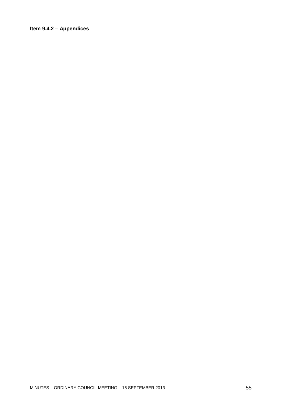#### <span id="page-54-0"></span>**Item 9.4.2 – Appendices**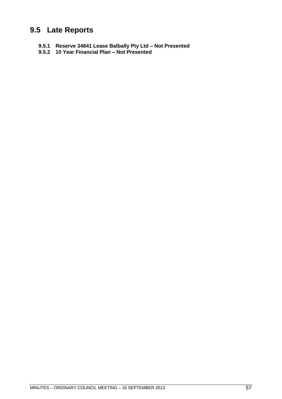### <span id="page-56-0"></span>**9.5 Late Reports**

- <span id="page-56-1"></span>**9.5.1 Reserve 34841 Lease Balbally Pty Ltd – Not Presented**
- <span id="page-56-2"></span>**9.5.2 10 Year Financial Plan – Not Presented**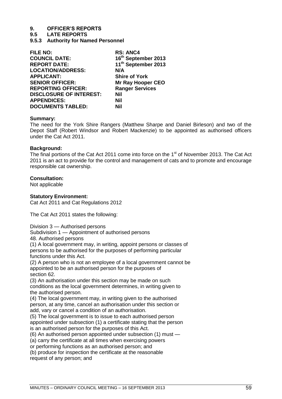#### **9.5 LATE REPORTS**

<span id="page-58-0"></span>**9.5.3 Authority for Named Personnel**

| <b>FILE NO:</b>                | <b>RS: ANC4</b>                 |
|--------------------------------|---------------------------------|
| <b>COUNCIL DATE:</b>           | 16th September 2013             |
| <b>REPORT DATE:</b>            | 11 <sup>th</sup> September 2013 |
| <b>LOCATION/ADDRESS:</b>       | N/A                             |
| <b>APPLICANT:</b>              | <b>Shire of York</b>            |
| <b>SENIOR OFFICER:</b>         | <b>Mr Ray Hooper CEO</b>        |
| <b>REPORTING OFFICER:</b>      | <b>Ranger Services</b>          |
| <b>DISCLOSURE OF INTEREST:</b> | Nil                             |
| <b>APPENDICES:</b>             | Nil                             |
| <b>DOCUMENTS TABLED:</b>       | Nil                             |

#### **Summary:**

The need for the York Shire Rangers (Matthew Sharpe and Daniel Birleson) and two of the Depot Staff (Robert Windsor and Robert Mackenzie) to be appointed as authorised officers under the Cat Act 2011.

#### **Background:**

The final portions of the Cat Act 2011 come into force on the 1<sup>st</sup> of November 2013. The Cat Act 2011 is an act to provide for the control and management of cats and to promote and encourage responsible cat ownership.

#### **Consultation:**

Not applicable

#### **Statutory Environment:**

Cat Act 2011 and Cat Regulations 2012

The Cat Act 2011 states the following:

Division 3 — Authorised persons

Subdivision 1 — Appointment of authorised persons

48. Authorised persons

(1) A local government may, in writing, appoint persons or classes of persons to be authorised for the purposes of performing particular functions under this Act.

(2) A person who is not an employee of a local government cannot be appointed to be an authorised person for the purposes of section 62.

(3) An authorisation under this section may be made on such conditions as the local government determines, in writing given to the authorised person.

(4) The local government may, in writing given to the authorised person, at any time, cancel an authorisation under this section or add, vary or cancel a condition of an authorisation.

(5) The local government is to issue to each authorised person appointed under subsection (1) a certificate stating that the person is an authorised person for the purposes of this Act.

(6) An authorised person appointed under subsection (1) must —

(a) carry the certificate at all times when exercising powers

or performing functions as an authorised person; and

(b) produce for inspection the certificate at the reasonable request of any person; and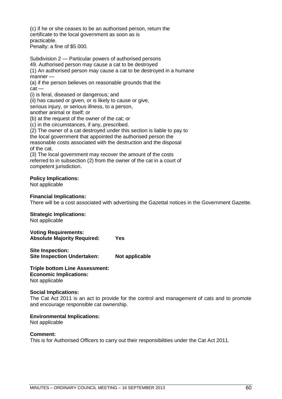(c) if he or she ceases to be an authorised person, return the certificate to the local government as soon as is practicable.

Penalty: a fine of \$5 000.

Subdivision 2 — Particular powers of authorised persons 49. Authorised person may cause a cat to be destroyed (1) An authorised person may cause a cat to be destroyed in a humane manner —

(a) if the person believes on reasonable grounds that the cat —

(i) is feral, diseased or dangerous; and

(ii) has caused or given, or is likely to cause or give,

serious injury, or serious illness, to a person,

another animal or itself; or

(b) at the request of the owner of the cat; or

(c) in the circumstances, if any, prescribed.

(2) The owner of a cat destroyed under this section is liable to pay to

the local government that appointed the authorised person the

reasonable costs associated with the destruction and the disposal of the cat.

(3) The local government may recover the amount of the costs referred to in subsection (2) from the owner of the cat in a court of competent jurisdiction.

#### **Policy Implications:**

Not applicable

#### **Financial Implications:**

There will be a cost associated with advertising the Gazettal notices in the Government Gazette.

#### **Strategic Implications:**

Not applicable

**Voting Requirements: Absolute Majority Required: Yes**

**Site Inspection: Site Inspection Undertaken: Not applicable**

**Triple bottom Line Assessment: Economic Implications:** Not applicable

#### **Social Implications:**

The Cat Act 2011 is an act to provide for the control and management of cats and to promote and encourage responsible cat ownership.

#### **Environmental Implications:**

Not applicable

#### **Comment:**

This is for Authorised Officers to carry out their responsibilities under the Cat Act 2011.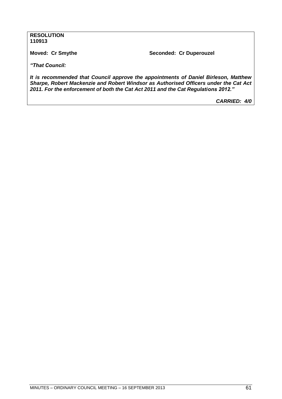#### **RESOLUTION 110913**

**Moved: Cr Smythe Seconded: Cr Duperouzel**

*"That Council:*

*It is recommended that Council approve the appointments of Daniel Birleson, Matthew Sharpe, Robert Mackenzie and Robert Windsor as Authorised Officers under the Cat Act 2011. For the enforcement of both the Cat Act 2011 and the Cat Regulations 2012."*

*CARRIED: 4/0*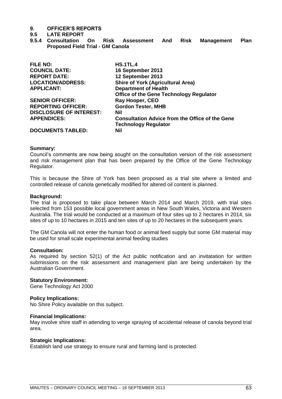#### **9.5 LATE REPORT**

<span id="page-62-0"></span>**9.5.4 Consultation On Risk Assessment And Risk Management Plan Proposed Field Trial - GM Canola**

| <b>FILE NO:</b>                | <b>HS.1TL.4</b>                                        |
|--------------------------------|--------------------------------------------------------|
| <b>COUNCIL DATE:</b>           | 16 September 2013                                      |
| <b>REPORT DATE:</b>            | 12 September 2013                                      |
| <b>LOCATION/ADDRESS:</b>       | <b>Shire of York (Agricultural Area)</b>               |
| <b>APPLICANT:</b>              | <b>Department of Health</b>                            |
|                                | <b>Office of the Gene Technology Regulator</b>         |
| <b>SENIOR OFFICER:</b>         | Ray Hooper, CEO                                        |
| <b>REPORTING OFFICER:</b>      | <b>Gordon Tester, MHB</b>                              |
| <b>DISCLOSURE OF INTEREST:</b> | Nil                                                    |
| <b>APPENDICES:</b>             | <b>Consultation Advice from the Office of the Gene</b> |
|                                | <b>Technology Regulator</b>                            |
| <b>DOCUMENTS TABLED:</b>       | Nil                                                    |

#### **Summary:**

Council's comments are now being sought on the consultation version of the risk assessment and risk management plan that has been prepared by the Office of the Gene Technology Regulator.

This is because the Shire of York has been proposed as a trial site where a limited and controlled release of canola genetically modified for altered oil content is planned.

#### **Background:**

The trial is proposed to take place between March 2014 and March 2019, with trial sites selected from 153 possible local government areas in New South Wales, Victoria and Western Australia. The trial would be conducted at a maximum of four sites up to 2 hectares in 2014, six sites of up to 10 hectares in 2015 and ten sites of up to 20 hectares in the subsequent years.

The GM Canola will not enter the human food or animal feed supply but some GM material may be used for small scale experimental animal feeding studies

#### **Consultation:**

As required by section 52(1) of the Act public notification and an invitatation for written submissions on the risk assessment and management plan are being undertaken by the Australian Government.

#### **Statutory Environment:**

Gene Technology Act 2000

#### **Policy Implications:**

No Shire Policy available on this subject.

#### **Financial Implications:**

May involve shire staff in attending to verge spraying of accidental release of canola beyond trial area.

#### **Strategic Implications:**

Establish land use strategy to ensure rural and farming land is protected.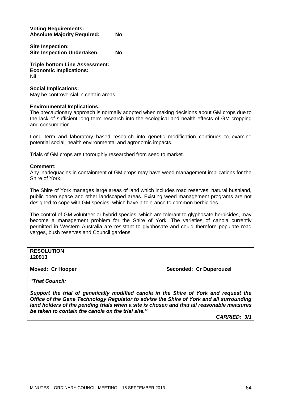**Voting Requirements: Absolute Majority Required: No**

**Site Inspection: Site Inspection Undertaken: No**

**Triple bottom Line Assessment: Economic Implications:** Nil

#### **Social Implications:**

May be controversial in certain areas.

#### **Environmental Implications:**

The precautionary approach is normally adopted when making decisions about GM crops due to the lack of sufficient long term research into the ecological and health effects of GM cropping and consumption.

Long term and laboratory based research into genetic modification continues to examine potential social, health environmental and agronomic impacts.

Trials of GM crops are thoroughly researched from seed to market.

#### **Comment:**

Any inadequacies in containment of GM crops may have weed management implications for the Shire of York.

The Shire of York manages large areas of land which includes road reserves, natural bushland, public open space and other landscaped areas. Existing weed management programs are not designed to cope with GM species, which have a tolerance to common herbicides.

The control of GM volunteer or hybrid species, which are tolerant to glyphosate herbicides, may become a management problem for the Shire of York. The varieties of canola currently permitted in Western Australia are resistant to glyphosate and could therefore populate road verges, bush reserves and Council gardens.

**RESOLUTION 120913**

**Moved: Cr Hooper Seconded: Cr Duperouzel** 

*"That Council:*

*Support the trial of genetically modified canola in the Shire of York and request the Office of the Gene Technology Regulator to advise the Shire of York and all surrounding land holders of the pending trials when a site is chosen and that all reasonable measures be taken to contain the canola on the trial site."*

*CARRIED: 3/1*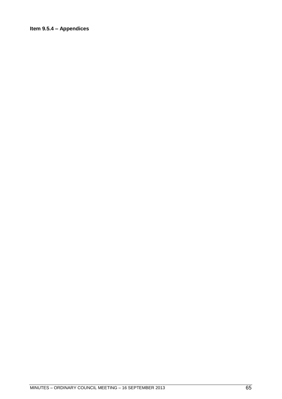#### <span id="page-64-0"></span>**Item 9.5.4 – Appendices**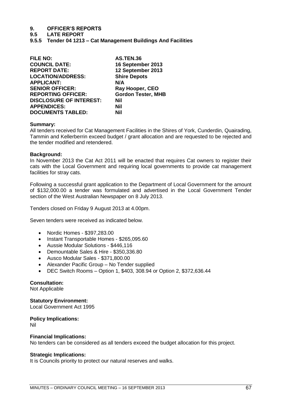**9.5 LATE REPORT**

<span id="page-66-0"></span>**9.5.5 Tender 04 1213 – Cat Management Buildings And Facilities**

| <b>FILE NO:</b>                | <b>AS.TEN.36</b>          |
|--------------------------------|---------------------------|
| <b>COUNCIL DATE:</b>           | 16 September 2013         |
| <b>REPORT DATE:</b>            | 12 September 2013         |
| <b>LOCATION/ADDRESS:</b>       | <b>Shire Depots</b>       |
| <b>APPLICANT:</b>              | N/A                       |
| <b>SENIOR OFFICER:</b>         | Ray Hooper, CEO           |
| <b>REPORTING OFFICER:</b>      | <b>Gordon Tester, MHB</b> |
| <b>DISCLOSURE OF INTEREST:</b> | Nil                       |
| <b>APPENDICES:</b>             | Nil                       |
| <b>DOCUMENTS TABLED:</b>       | Nil                       |
|                                |                           |

#### **Summary:**

All tenders received for Cat Management Facilities in the Shires of York, Cunderdin, Quairading, Tammin and Kellerberrin exceed budget / grant allocation and are requested to be rejected and the tender modified and retendered.

#### **Background:**

In November 2013 the Cat Act 2011 will be enacted that requires Cat owners to register their cats with the Local Government and requiring local governments to provide cat management facilities for stray cats.

Following a successful grant application to the Department of Local Government for the amount of \$132,000.00 a tender was formulated and advertised in the Local Government Tender section of the West Australian Newspaper on 8 July 2013.

Tenders closed on Friday 9 August 2013 at 4.00pm.

Seven tenders were received as indicated below.

- Nordic Homes \$397,283.00
- Instant Transportable Homes \$265,095.60
- Aussie Modular Solutions \$446,116
- Demountable Sales & Hire \$350,336.80
- Ausco Modular Sales \$371,800.00
- Alexander Pacific Group No Tender supplied
- DEC Switch Rooms Option 1, \$403, 308.94 or Option 2, \$372,636.44

#### **Consultation:**

Not Applicable

#### **Statutory Environment:**

Local Government Act 1995

#### **Policy Implications:**

Nil

#### **Financial Implications:**

No tenders can be considered as all tenders exceed the budget allocation for this project.

#### **Strategic Implications:**

It is Councils priority to protect our natural reserves and walks.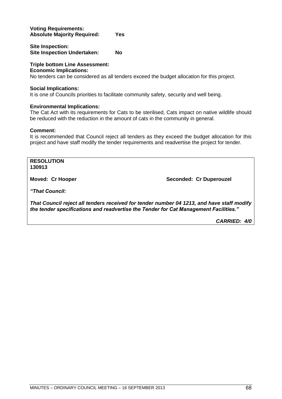#### **Voting Requirements: Absolute Majority Required: Yes**

**Site Inspection: Site Inspection Undertaken: No**

#### **Triple bottom Line Assessment:**

#### **Economic Implications:**

No tenders can be considered as all tenders exceed the budget allocation for this project.

#### **Social Implications:**

It is one of Councils priorities to facilitate community safety, security and well being.

#### **Environmental Implications:**

The Cat Act with its requirements for Cats to be sterilised, Cats impact on native wildlife should be reduced with the reduction in the amount of cats in the community in general.

#### **Comment:**

It is recommended that Council reject all tenders as they exceed the budget allocation for this project and have staff modify the tender requirements and readvertise the project for tender.

#### **RESOLUTION 130913**

**Moved: Cr Hooper Seconded: Cr Duperouzel** 

*"That Council:*

*That Council reject all tenders received for tender number 04 1213, and have staff modify the tender specifications and readvertise the Tender for Cat Management Facilities."*

*CARRIED: 4/0*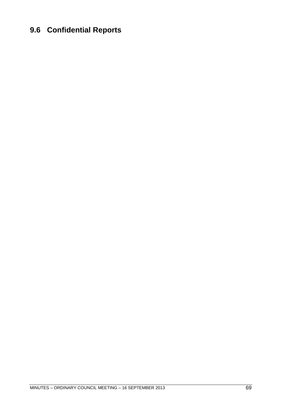### <span id="page-68-0"></span>**9.6 Confidential Reports**